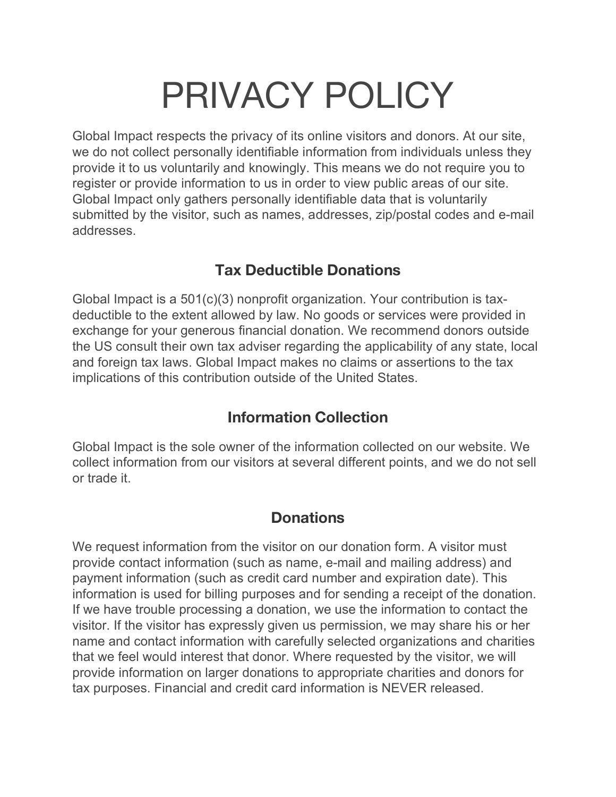# PRIVACY POLICY

Global Impact respects the privacy of its online visitors and donors. At our site, we do not collect personally identifiable information from individuals unless they provide it to us voluntarily and knowingly. This means we do not require you to register or provide information to us in order to view public areas of our site. Global Impact only gathers personally identifiable data that is voluntarily submitted by the visitor, such as names, addresses, zip/postal codes and e-mail addresses.

### **Tax Deductible Donations**

Global Impact is a 501(c)(3) nonprofit organization. Your contribution is taxdeductible to the extent allowed by law. No goods or services were provided in exchange for your generous financial donation. We recommend donors outside the US consult their own tax adviser regarding the applicability of any state, local and foreign tax laws. Global Impact makes no claims or assertions to the tax implications of this contribution outside of the United States.

### **Information Collection**

Global Impact is the sole owner of the information collected on our website. We collect information from our visitors at several different points, and we do not sell or trade it.

### **Donations**

We request information from the visitor on our donation form. A visitor must provide contact information (such as name, e-mail and mailing address) and payment information (such as credit card number and expiration date). This information is used for billing purposes and for sending a receipt of the donation. If we have trouble processing a donation, we use the information to contact the visitor. If the visitor has expressly given us permission, we may share his or her name and contact information with carefully selected organizations and charities that we feel would interest that donor. Where requested by the visitor, we will provide information on larger donations to appropriate charities and donors for tax purposes. Financial and credit card information is NEVER released.